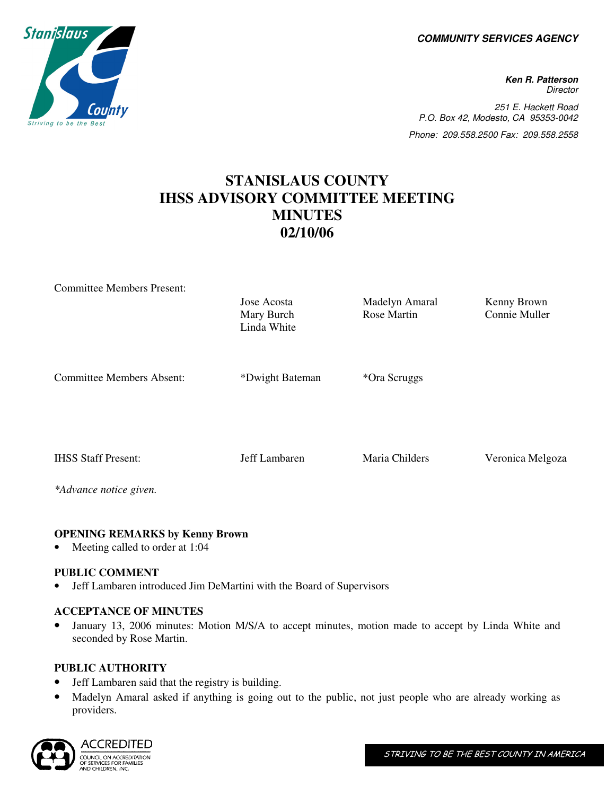**COMMUNITY SERVICES AGENCY** 

**Ken R. Patterson Director** 251 E. Hackett Road P.O. Box 42, Modesto, CA 95353-0042 Phone: 209.558.2500 Fax: 209.558.2558

# **STANISLAUS COUNTY IHSS ADVISORY COMMITTEE MEETING MINUTES 02/10/06**

| <b>Committee Members Present:</b>                    | Jose Acosta<br>Mary Burch<br>Linda White | Madelyn Amaral<br>Rose Martin | Kenny Brown<br>Connie Muller |
|------------------------------------------------------|------------------------------------------|-------------------------------|------------------------------|
| <b>Committee Members Absent:</b>                     | *Dwight Bateman                          | *Ora Scruggs                  |                              |
| <b>IHSS Staff Present:</b><br>*Advance notice given. | Jeff Lambaren                            | Maria Childers                | Veronica Melgoza             |

## **OPENING REMARKS by Kenny Brown**

Meeting called to order at 1:04

## **PUBLIC COMMENT**

• Jeff Lambaren introduced Jim DeMartini with the Board of Supervisors

## **ACCEPTANCE OF MINUTES**

• January 13, 2006 minutes: Motion M/S/A to accept minutes, motion made to accept by Linda White and seconded by Rose Martin.

## **PUBLIC AUTHORITY**

- Jeff Lambaren said that the registry is building.
- Madelyn Amaral asked if anything is going out to the public, not just people who are already working as providers.



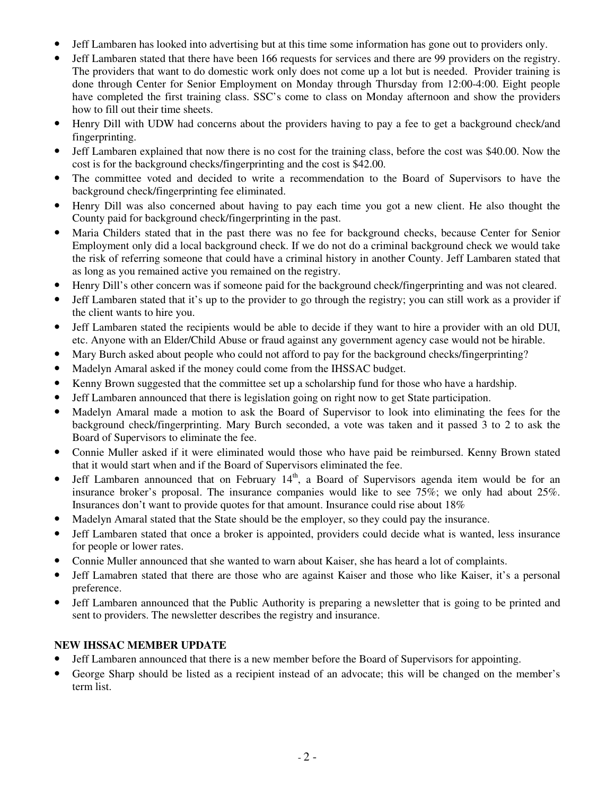- Jeff Lambaren has looked into advertising but at this time some information has gone out to providers only.
- Jeff Lambaren stated that there have been 166 requests for services and there are 99 providers on the registry. The providers that want to do domestic work only does not come up a lot but is needed. Provider training is done through Center for Senior Employment on Monday through Thursday from 12:00-4:00. Eight people have completed the first training class. SSC's come to class on Monday afternoon and show the providers how to fill out their time sheets.
- Henry Dill with UDW had concerns about the providers having to pay a fee to get a background check/and fingerprinting.
- Jeff Lambaren explained that now there is no cost for the training class, before the cost was \$40.00. Now the cost is for the background checks/fingerprinting and the cost is \$42.00.
- The committee voted and decided to write a recommendation to the Board of Supervisors to have the background check/fingerprinting fee eliminated.
- Henry Dill was also concerned about having to pay each time you got a new client. He also thought the County paid for background check/fingerprinting in the past.
- Maria Childers stated that in the past there was no fee for background checks, because Center for Senior Employment only did a local background check. If we do not do a criminal background check we would take the risk of referring someone that could have a criminal history in another County. Jeff Lambaren stated that as long as you remained active you remained on the registry.
- Henry Dill's other concern was if someone paid for the background check/fingerprinting and was not cleared.
- Jeff Lambaren stated that it's up to the provider to go through the registry; you can still work as a provider if the client wants to hire you.
- Jeff Lambaren stated the recipients would be able to decide if they want to hire a provider with an old DUI, etc. Anyone with an Elder/Child Abuse or fraud against any government agency case would not be hirable.
- Mary Burch asked about people who could not afford to pay for the background checks/fingerprinting?
- Madelyn Amaral asked if the money could come from the IHSSAC budget.
- Kenny Brown suggested that the committee set up a scholarship fund for those who have a hardship.
- Jeff Lambaren announced that there is legislation going on right now to get State participation.
- Madelyn Amaral made a motion to ask the Board of Supervisor to look into eliminating the fees for the background check/fingerprinting. Mary Burch seconded, a vote was taken and it passed 3 to 2 to ask the Board of Supervisors to eliminate the fee.
- Connie Muller asked if it were eliminated would those who have paid be reimbursed. Kenny Brown stated that it would start when and if the Board of Supervisors eliminated the fee.
- Jeff Lambaren announced that on February 14<sup>th</sup>, a Board of Supervisors agenda item would be for an insurance broker's proposal. The insurance companies would like to see 75%; we only had about 25%. Insurances don't want to provide quotes for that amount. Insurance could rise about 18%
- Madelyn Amaral stated that the State should be the employer, so they could pay the insurance.
- Jeff Lambaren stated that once a broker is appointed, providers could decide what is wanted, less insurance for people or lower rates.
- Connie Muller announced that she wanted to warn about Kaiser, she has heard a lot of complaints.
- Jeff Lamabren stated that there are those who are against Kaiser and those who like Kaiser, it's a personal preference.
- Jeff Lambaren announced that the Public Authority is preparing a newsletter that is going to be printed and sent to providers. The newsletter describes the registry and insurance.

# **NEW IHSSAC MEMBER UPDATE**

- Jeff Lambaren announced that there is a new member before the Board of Supervisors for appointing.
- George Sharp should be listed as a recipient instead of an advocate; this will be changed on the member's term list.